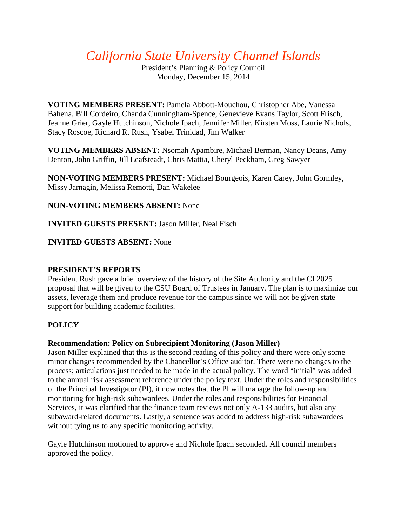*California State University Channel Islands*

President's Planning & Policy Council Monday, December 15, 2014

**VOTING MEMBERS PRESENT:** Pamela Abbott-Mouchou, Christopher Abe, Vanessa Bahena, Bill Cordeiro, Chanda Cunningham-Spence, Genevieve Evans Taylor, Scott Frisch, Jeanne Grier, Gayle Hutchinson, Nichole Ipach, Jennifer Miller, Kirsten Moss, Laurie Nichols, Stacy Roscoe, Richard R. Rush, Ysabel Trinidad, Jim Walker

**VOTING MEMBERS ABSENT:** Nsomah Apambire, Michael Berman, Nancy Deans, Amy Denton, John Griffin, Jill Leafsteadt, Chris Mattia, Cheryl Peckham, Greg Sawyer

**NON-VOTING MEMBERS PRESENT:** Michael Bourgeois, Karen Carey, John Gormley, Missy Jarnagin, Melissa Remotti, Dan Wakelee

## **NON-VOTING MEMBERS ABSENT:** None

**INVITED GUESTS PRESENT:** Jason Miller, Neal Fisch

# **INVITED GUESTS ABSENT:** None

## **PRESIDENT'S REPORTS**

President Rush gave a brief overview of the history of the Site Authority and the CI 2025 proposal that will be given to the CSU Board of Trustees in January. The plan is to maximize our assets, leverage them and produce revenue for the campus since we will not be given state support for building academic facilities.

## **POLICY**

## **Recommendation: Policy on Subrecipient Monitoring (Jason Miller)**

Jason Miller explained that this is the second reading of this policy and there were only some minor changes recommended by the Chancellor's Office auditor. There were no changes to the process; articulations just needed to be made in the actual policy. The word "initial" was added to the annual risk assessment reference under the policy text. Under the roles and responsibilities of the Principal Investigator (PI), it now notes that the PI will manage the follow-up and monitoring for high-risk subawardees. Under the roles and responsibilities for Financial Services, it was clarified that the finance team reviews not only A-133 audits, but also any subaward-related documents. Lastly, a sentence was added to address high-risk subawardees without tying us to any specific monitoring activity.

Gayle Hutchinson motioned to approve and Nichole Ipach seconded. All council members approved the policy.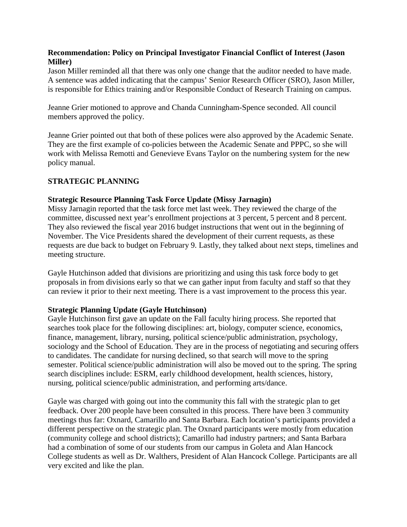## **Recommendation: Policy on Principal Investigator Financial Conflict of Interest (Jason Miller)**

Jason Miller reminded all that there was only one change that the auditor needed to have made. A sentence was added indicating that the campus' Senior Research Officer (SRO), Jason Miller, is responsible for Ethics training and/or Responsible Conduct of Research Training on campus.

Jeanne Grier motioned to approve and Chanda Cunningham-Spence seconded. All council members approved the policy.

Jeanne Grier pointed out that both of these polices were also approved by the Academic Senate. They are the first example of co-policies between the Academic Senate and PPPC, so she will work with Melissa Remotti and Genevieve Evans Taylor on the numbering system for the new policy manual.

## **STRATEGIC PLANNING**

#### **Strategic Resource Planning Task Force Update (Missy Jarnagin)**

Missy Jarnagin reported that the task force met last week. They reviewed the charge of the committee, discussed next year's enrollment projections at 3 percent, 5 percent and 8 percent. They also reviewed the fiscal year 2016 budget instructions that went out in the beginning of November. The Vice Presidents shared the development of their current requests, as these requests are due back to budget on February 9. Lastly, they talked about next steps, timelines and meeting structure.

Gayle Hutchinson added that divisions are prioritizing and using this task force body to get proposals in from divisions early so that we can gather input from faculty and staff so that they can review it prior to their next meeting. There is a vast improvement to the process this year.

#### **Strategic Planning Update (Gayle Hutchinson)**

Gayle Hutchinson first gave an update on the Fall faculty hiring process. She reported that searches took place for the following disciplines: art, biology, computer science, economics, finance, management, library, nursing, political science/public administration, psychology, sociology and the School of Education. They are in the process of negotiating and securing offers to candidates. The candidate for nursing declined, so that search will move to the spring semester. Political science/public administration will also be moved out to the spring. The spring search disciplines include: ESRM, early childhood development, health sciences, history, nursing, political science/public administration, and performing arts/dance.

Gayle was charged with going out into the community this fall with the strategic plan to get feedback. Over 200 people have been consulted in this process. There have been 3 community meetings thus far: Oxnard, Camarillo and Santa Barbara. Each location's participants provided a different perspective on the strategic plan. The Oxnard participants were mostly from education (community college and school districts); Camarillo had industry partners; and Santa Barbara had a combination of some of our students from our campus in Goleta and Alan Hancock College students as well as Dr. Walthers, President of Alan Hancock College. Participants are all very excited and like the plan.